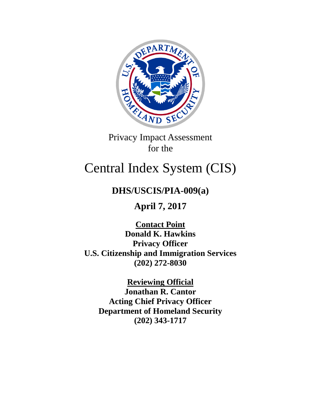

Privacy Impact Assessment for the

# Central Index System (CIS)

# **DHS/USCIS/PIA-009(a)**

**April 7, 2017**

**Contact Point Donald K. Hawkins Privacy Officer U.S. Citizenship and Immigration Services (202) 272-8030**

**Reviewing Official Jonathan R. Cantor Acting Chief Privacy Officer Department of Homeland Security (202) 343-1717**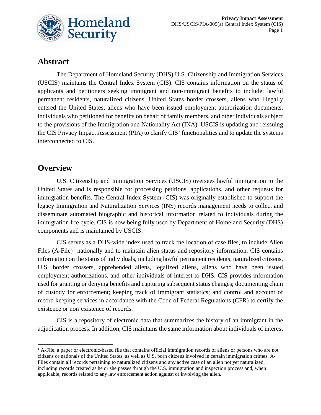

# **Abstract**

The Department of Homeland Security (DHS) U.S. Citizenship and Immigration Services (USCIS) maintains the Central Index System (CIS). CIS contains information on the status of applicants and petitioners seeking immigrant and non-immigrant benefits to include: lawful permanent residents, naturalized citizens, United States border crossers, aliens who illegally entered the United States, aliens who have been issued employment authorization documents, individuals who petitioned for benefits on behalf of family members, and other individuals subject to the provisions of the Immigration and Nationality Act (INA). USCIS is updating and reissuing the CIS Privacy Impact Assessment (PIA) to clarify CIS' functionalities and to update the systems interconnected to CIS.

### **Overview**

U.S. Citizenship and Immigration Services (USCIS) oversees lawful immigration to the United States and is responsible for processing petitions, applications, and other requests for immigration benefits. The Central Index System (CIS) was originally established to support the legacy Immigration and Naturalization Services (INS) records management needs to collect and disseminate automated biographic and historical information related to individuals during the immigration life cycle. CIS is now being fully used by Department of Homeland Security (DHS) components and is maintained by USCIS.

CIS serves as a DHS-wide index used to track the location of case files, to include Alien Files  $(A$ -File)<sup>[1](#page-1-0)</sup> nationally and to maintain alien status and repository information. CIS contains information on the status of individuals, including lawful permanent residents, naturalized citizens, U.S. border crossers, apprehended aliens, legalized aliens, aliens who have been issued employment authorizations, and other individuals of interest to DHS. CIS provides information used for granting or denying benefits and capturing subsequent status changes; documenting chain of custody for enforcement; keeping track of immigrant statistics; and control and account of record keeping services in accordance with the Code of Federal Regulations (CFR) to certify the existence or non‐existence of records.

CIS is a repository of electronic data that summarizes the history of an immigrant in the adjudication process. In addition, CIS maintains the same information about individuals of interest

<span id="page-1-0"></span> $<sup>1</sup>$  A-File, a paper or electronic-based file that contains official immigration records of aliens or persons who are not</sup> citizens or nationals of the United States, as well as U.S. born citizens involved in certain immigration crimes. A-Files contain all records pertaining to naturalized citizens and any active case of an alien not yet naturalized, including records created as he or she passes through the U.S. immigration and inspection process and, when applicable, records related to any law enforcement action against or involving the alien.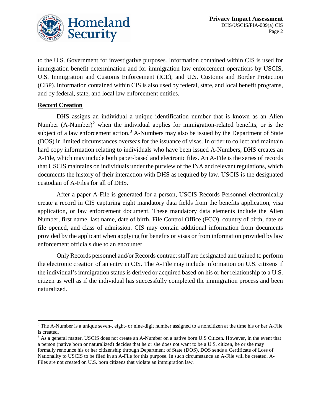

to the U.S. Government for investigative purposes. Information contained within CIS is used for immigration benefit determination and for immigration law enforcement operations by USCIS, U.S. Immigration and Customs Enforcement (ICE), and U.S. Customs and Border Protection (CBP). Information contained within CIS is also used by federal, state, and local benefit programs, and by federal, state, and local law enforcement entities.

#### **Record Creation**

DHS assigns an individual a unique identification number that is known as an Alien Number  $(A-Number)^2$  $(A-Number)^2$  when the individual applies for immigration-related benefits, or is the subject of a law enforcement action.<sup>[3](#page-2-1)</sup> A-Numbers may also be issued by the Department of State (DOS) in limited circumstances overseas for the issuance of visas. In order to collect and maintain hard copy information relating to individuals who have been issued A-Numbers, DHS creates an A-File, which may include both paper-based and electronic files. An A-File is the series of records that USCIS maintains on individuals under the purview of the INA and relevant regulations, which documents the history of their interaction with DHS as required by law. USCIS is the designated custodian of A-Files for all of DHS.

After a paper A-File is generated for a person, USCIS Records Personnel electronically create a record in CIS capturing eight mandatory data fields from the benefits application, visa application, or law enforcement document. These mandatory data elements include the Alien Number, first name, last name, date of birth, File Control Office (FCO), country of birth, date of file opened, and class of admission. CIS may contain additional information from documents provided by the applicant when applying for benefits or visas or from information provided by law enforcement officials due to an encounter.

Only Records personnel and/or Records contract staff are designated and trained to perform the electronic creation of an entry in CIS. The A-File may include information on U.S. citizens if the individual's immigration status is derived or acquired based on his or her relationship to a U.S. citizen as well as if the individual has successfully completed the immigration process and been naturalized.

<span id="page-2-0"></span><sup>&</sup>lt;sup>2</sup> The A-Number is a unique seven-, eight- or nine-digit number assigned to a noncitizen at the time his or her A-File is created.

<span id="page-2-1"></span><sup>&</sup>lt;sup>3</sup> As a general matter, USCIS does not create an A-Number on a native born U.S Citizen. However, in the event that a person (native born or naturalized) decides that he or she does not want to be a U.S. citizen, he or she may formally renounce his or her citizenship through Department of State (DOS). DOS sends a Certificate of Loss of Nationality to USCIS to be filed in an A-File for this purpose. In such circumstance an A-File will be created. A-Files are not created on U.S. born citizens that violate an immigration law.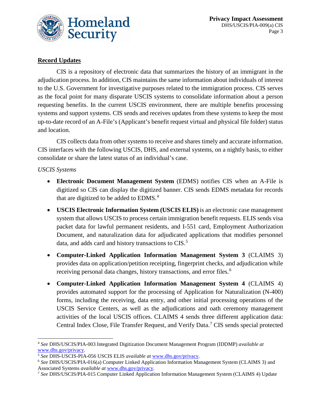

#### **Record Updates**

CIS is a repository of electronic data that summarizes the history of an immigrant in the adjudication process. In addition, CIS maintains the same information about individuals of interest to the U.S. Government for investigative purposes related to the immigration process. CIS serves as the focal point for many disparate USCIS systems to consolidate information about a person requesting benefits. In the current USCIS environment, there are multiple benefits processing systems and support systems. CIS sends and receives updates from these systems to keep the most up-to-date record of an A-File's (Applicant's benefit request virtual and physical file folder) status and location.

CIS collects data from other systems to receive and shares timely and accurate information. CIS interfaces with the following USCIS, DHS, and external systems, on a nightly basis, to either consolidate or share the latest status of an individual's case.

#### *USCIS Systems*

- **Electronic Document Management System** (EDMS) notifies CIS when an A-File is digitized so CIS can display the digitized banner. CIS sends EDMS metadata for records that are digitized to be added to  $EDMS<sup>4</sup>$  $EDMS<sup>4</sup>$  $EDMS<sup>4</sup>$ .
- **USCIS Electronic Information System (USCIS ELIS)** is an electronic case management system that allows USCIS to process certain immigration benefit requests. ELIS sends visa packet data for lawful permanent residents, and I-551 card, Employment Authorization Document, and naturalization data for adjudicated applications that modifies personnel data, and adds card and history transactions to CIS.<sup>[5](#page-3-1)</sup>
- **Computer-Linked Application Information Management System 3** (CLAIMS 3) provides data on application/petition receipting, fingerprint checks, and adjudication while receiving personal data changes, history transactions, and error files.<sup>[6](#page-3-2)</sup>
- **Computer-Linked Application Information Management System 4** (CLAIMS 4) provides automated support for the processing of Application for Naturalization (N-400) forms, including the receiving, data entry, and other initial processing operations of the USCIS Service Centers, as well as the adjudications and oath ceremony management activities of the local USCIS offices. CLAIMS 4 sends three different application data: Central Index Close, File Transfer Request, and Verify Data.[7](#page-3-3) CIS sends special protected

<span id="page-3-0"></span> <sup>4</sup> *See* DHS/USCIS/PIA-003 Integrated Digitization Document Management Program (IDDMP) *available at*  [www.dhs.gov/privacy](http://www.dhs.gov/privacy)*.*

<span id="page-3-1"></span><sup>5</sup> *See* DHS-USCIS-PIA-056 USCIS ELIS *available at* [www.dhs.gov/privacy.](http://www.dhs.gov/privacy)

<span id="page-3-2"></span><sup>6</sup> *See* DHS/USCIS/PIA-016(a) Computer Linked Application Information Management System (CLAIMS 3) and Associated Systems *available at* [www.dhs.gov/privacy.](http://www.dhs.gov/privacy)

<span id="page-3-3"></span><sup>7</sup> *See* DHS/USCIS/PIA-015 Computer Linked Application Information Management System (CLAIMS 4) Update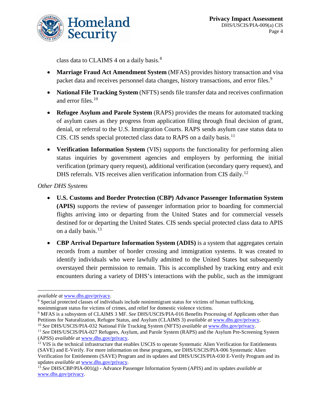

class data to CLAIMS 4 on a daily basis.<sup>[8](#page-4-0)</sup>

- **Marriage Fraud Act Amendment System** (MFAS) provides history transaction and visa packet data and receives personnel data changes, history transactions, and error files.<sup>[9](#page-4-1)</sup>
- **National File Tracking System** (NFTS) sends file transfer data and receives confirmation and error files. [10](#page-4-2)
- **Refugee Asylum and Parole System** (RAPS) provides the means for automated tracking of asylum cases as they progress from application filing through final decision of grant, denial, or referral to the U.S. Immigration Courts. RAPS sends asylum case status data to CIS. CIS sends special protected class data to RAPS on a daily basis.<sup>[11](#page-4-3)</sup>
- **Verification Information System** (VIS) supports the functionality for performing alien status inquiries by government agencies and employers by performing the initial verification (primary query request), additional verification (secondary query request), and DHS referrals. VIS receives alien verification information from CIS daily.<sup>[12](#page-4-4)</sup>

*Other DHS Systems*

- **U.S. Customs and Border Protection (CBP) Advance Passenger Information System (APIS)** supports the review of passenger information prior to boarding for commercial flights arriving into or departing from the United States and for commercial vessels destined for or departing the United States. CIS sends special protected class data to APIS on a daily basis.<sup>[13](#page-4-5)</sup>
- **CBP Arrival Departure Information System (ADIS)** is a system that aggregates certain records from a number of border crossing and immigration systems. It was created to identify individuals who were lawfully admitted to the United States but subsequently overstayed their permission to remain. This is accomplished by tracking entry and exit encounters during a variety of DHS's interactions with the public, such as the immigrant

 $\overline{a}$ *available at* [www.dhs.gov/privacy.](http://www.dhs.gov/privacy)

<span id="page-4-0"></span><sup>8</sup> Special protected classes of individuals include nonimmigrant status for victims of human trafficking, nonimmigrant status for victims of crimes, and relief for domestic violence victims.

<span id="page-4-1"></span><sup>9</sup> MFAS is a subsystem of CLAIMS 3 MF. *See* DHS/USCIS/PIA-016 Benefits Processing of Applicants other than Petitions for Naturalization, Refugee Status, and Asylum (CLAIMS 3) *available at* www.dhs.gov/privacy.

<span id="page-4-3"></span><span id="page-4-2"></span><sup>10</sup> *See* DHS/USCIS/PIA-032 National File Tracking System (NFTS) *available at* [www.dhs.gov/privacy.](http://www.dhs.gov/privacy) <sup>11</sup> *See* DHS/USCIS/PIA-027 Refugees, Asylum, and Parole System (RAPS) and the Asylum Pre-Screening System

<sup>(</sup>APSS) *available at* [www.dhs.gov/privacy.](http://www.dhs.gov/privacy)

<span id="page-4-4"></span><sup>&</sup>lt;sup>12</sup> VIS is the technical infrastructure that enables USCIS to operate Systematic Alien Verification for Entitlements (SAVE) and E-Verify. For more information on these programs, *see* DHS/USCIS/PIA-006 Systematic Alien Verification for Entitlements (SAVE) Program and its updates and DHS/USCIS/PIA-030 E-Verify Program and its updates *available at* www.dhs.gov/privacy.

<span id="page-4-5"></span><sup>13</sup> *See* DHS/CBP/PIA-001(g) - Advance Passenger Information System (APIS) and its updates *available at* www.dhs.gov/privacy.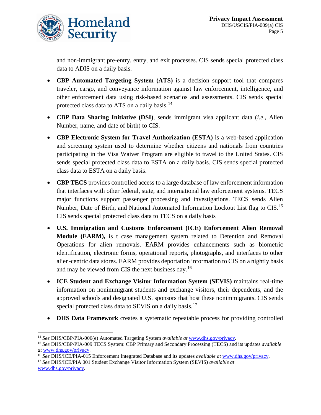

and non-immigrant pre-entry, entry, and exit processes. CIS sends special protected class data to ADIS on a daily basis.

- **CBP Automated Targeting System (ATS)** is a decision support tool that compares traveler, cargo, and conveyance information against law enforcement, intelligence, and other enforcement data using risk-based scenarios and assessments. CIS sends special protected class data to ATS on a daily basis.<sup>[14](#page-5-0)</sup>
- **CBP Data Sharing Initiative (DSI)**, sends immigrant visa applicant data (*i.e*., Alien Number, name, and date of birth) to CIS.
- **CBP Electronic System for Travel Authorization (ESTA)** is a web-based application and screening system used to determine whether citizens and nationals from countries participating in the Visa Waiver Program are eligible to travel to the United States. CIS sends special protected class data to ESTA on a daily basis. CIS sends special protected class data to ESTA on a daily basis.
- **CBP TECS** provides controlled access to a large database of law enforcement information that interfaces with other federal, state, and international law enforcement systems. TECS major functions support passenger processing and investigations. TECS sends Alien Number, Date of Birth, and National Automated Information Lockout List flag to CIS.<sup>[15](#page-5-1)</sup> CIS sends special protected class data to TECS on a daily basis
- **U.S. Immigration and Customs Enforcement (ICE) Enforcement Alien Removal Module (EARM),** is t case management system related to Detention and Removal Operations for alien removals. EARM provides enhancements such as biometric identification, electronic forms, operational reports, photographs, and interfaces to other alien-centric data stores. EARM provides deportation information to CIS on a nightly basis and may be viewed from CIS the next business day.<sup>[16](#page-5-2)</sup>
- **ICE Student and Exchange Visitor Information System (SEVIS)** maintains real-time information on nonimmigrant students and exchange visitors, their dependents, and the approved schools and designated U.S. sponsors that host these nonimmigrants. CIS sends special protected class data to SEVIS on a daily basis.<sup>[17](#page-5-3)</sup>
- **DHS Data Framework** creates a systematic repeatable process for providing controlled

<span id="page-5-3"></span><sup>17</sup> *See* DHS/ICE/PIA 001 Student Exchange Visitor Information System (SEVIS) *available at* www.dhs.gov/privacy.

<span id="page-5-0"></span> <sup>14</sup> *See* DHS/CBP/PIA-006(e) Automated Targeting System *available at* www.dhs.gov/privacy.

<span id="page-5-1"></span><sup>15</sup> *See* DHS/CBP/PIA-009 TECS System: CBP Primary and Secondary Processing (TECS) and its updates *available at* www.dhs.gov/privacy.

<span id="page-5-2"></span><sup>16</sup> *See* DHS/ICE/PIA-015 Enforcement Integrated Database and its updates *available at* [www.dhs.gov/privacy.](http://www.dhs.gov/privacy)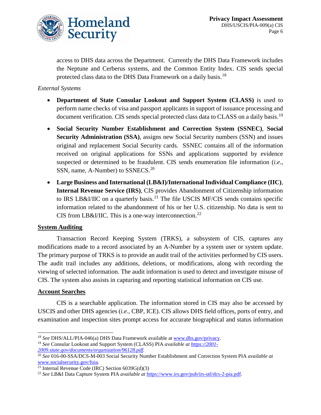

access to DHS data across the Department. Currently the DHS Data Framework includes the Neptune and Cerberus systems, and the Common Entity Index. CIS sends special protected class data to the DHS Data Framework on a daily basis.<sup>[18](#page-6-0)</sup>

#### *External Systems*

- **Department of State Consular Lookout and Support System (CLASS)** is used to perform name checks of visa and passport applicants in support of issuance processing and document verification. CIS sends special protected class data to CLASS on a daily basis.<sup>[19](#page-6-1)</sup>
- **Social Security Number Establishment and Correction System (SSNEC)**, **Social Security Administration (SSA)**, assigns new Social Security numbers (SSN) and issues original and replacement Social Security cards. SSNEC contains all of the information received on original applications for SSNs and applications supported by evidence suspected or determined to be fraudulent. CIS sends enumeration file information (*i.e*., SSN, name, A-Number) to SSNECS.<sup>[20](#page-6-2)</sup>
- **Large Business and International (LB&I)/International Individual Compliance (IIC)**, **Internal Revenue Service (IRS)**, CIS provides Abandonment of Citizenship information to IRS LB&I/IIC on a quarterly basis.<sup>[21](#page-6-3)</sup> The file USCIS MF/CIS sends contains specific information related to the abandonment of his or her U.S. citizenship. No data is sent to CIS from LB&I/IIC. This is a one-way interconnection.<sup>[22](#page-6-4)</sup>

#### **System Auditing**

Transaction Record Keeping System (TRKS), a subsystem of CIS, captures any modifications made to a record associated by an A-Number by a system user or system update. The primary purpose of TRKS is to provide an audit trail of the activities performed by CIS users. The audit trail includes any additions, deletions, or modifications, along with recording the viewing of selected information. The audit information is used to detect and investigate misuse of CIS. The system also assists in capturing and reporting statistical information on CIS use.

#### **Account Searches**

CIS is a searchable application. The information stored in CIS may also be accessed by USCIS and other DHS agencies (*i.e*., CBP, ICE). CIS allows DHS field offices, ports of entry, and examination and inspection sites prompt access for accurate biographical and status information

<span id="page-6-0"></span> <sup>18</sup> *See* DHS/ALL/PIA-046(a) DHS Data Framework available at [www.dhs.gov/privacy.](http://www.dhs.gov/privacy)

<span id="page-6-1"></span><sup>19</sup> *See* Consular Lookout and Support System (CLASS) PIA *available at [https://2001-](https://2001-2009.state.gov/documents/organization/96128.pdf) [2009.state.gov/documents/organization/96128.pdf.](https://2001-2009.state.gov/documents/organization/96128.pdf)*

<span id="page-6-2"></span><sup>20</sup> *See* 016-00-SSA/DCS-M-003 Social Security Number Establishment and Correction System PIA *available at*  [www.socialsecurity.gov/foia.](https://www.socialsecurity.gov/foia/piadocuments/FY07/Social%20Security%20Number%20Establishment%20and%20Correction%20System.updtdSept%2028.htm)

<sup>&</sup>lt;sup>21</sup> Internal Revenue Code (IRC) Section  $6039G(d)(3)$ 

<span id="page-6-4"></span><span id="page-6-3"></span><sup>22</sup> *See* LB&I Data Capture System PIA *available at* [https://www.irs.gov/pub/irs-utl/dcs-2-pia.pdf.](https://www.irs.gov/pub/irs-utl/dcs-2-pia.pdf)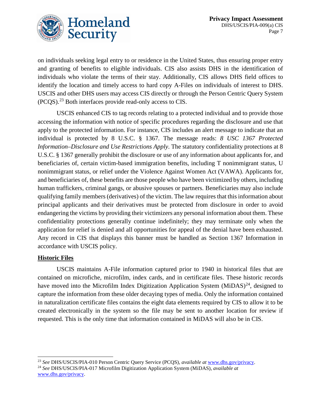

on individuals seeking legal entry to or residence in the United States, thus ensuring proper entry and granting of benefits to eligible individuals. CIS also assists DHS in the identification of individuals who violate the terms of their stay. Additionally, CIS allows DHS field offices to identify the location and timely access to hard copy A-Files on individuals of interest to DHS. USCIS and other DHS users may access CIS directly or through the Person Centric Query System (PCQS).[23](#page-7-0) Both interfaces provide read-only access to CIS.

USCIS enhanced CIS to tag records relating to a protected individual and to provide those accessing the information with notice of specific procedures regarding the disclosure and use that apply to the protected information. For instance, CIS includes an alert message to indicate that an individual is protected by 8 U.S.C. § 1367. The message reads: *8 USC 1367 Protected Information–Disclosure and Use Restrictions Apply*. The statutory confidentiality protections at 8 U.S.C. § 1367 generally prohibit the disclosure or use of any information about applicants for, and beneficiaries of, certain victim-based immigration benefits, including T nonimmigrant status, U nonimmigrant status, or relief under the Violence Against Women Act (VAWA). Applicants for, and beneficiaries of, these benefits are those people who have been victimized by others, including human traffickers, criminal gangs, or abusive spouses or partners. Beneficiaries may also include qualifying family members (derivatives) of the victim. The law requires that this information about principal applicants and their derivatives must be protected from disclosure in order to avoid endangering the victims by providing their victimizers any personal information about them. These confidentiality protections generally continue indefinitely; they may terminate only when the application for relief is denied and all opportunities for appeal of the denial have been exhausted. Any record in CIS that displays this banner must be handled as Section 1367 Information in accordance with USCIS policy.

#### **Historic Files**

USCIS maintains A-File information captured prior to 1940 in historical files that are contained on microfiche, microfilm, index cards, and in certificate files. These historic records have moved into the Microfilm Index Digitization Application System  $(MiDAS)^{24}$  $(MiDAS)^{24}$  $(MiDAS)^{24}$ , designed to capture the information from these older decaying types of media. Only the information contained in naturalization certificate files contains the eight data elements required by CIS to allow it to be created electronically in the system so the file may be sent to another location for review if requested. This is the only time that information contained in MiDAS will also be in CIS.

<span id="page-7-0"></span> <sup>23</sup> *See* DHS/USCIS/PIA-010 Person Centric Query Service (PCQS), *available at* [www.dhs.gov/privacy.](http://www.dhs.gov/privacy)

<span id="page-7-1"></span><sup>24</sup> *See* DHS/USCIS/PIA-017 Microfilm Digitization Application System (MiDAS), *available at* [www.dhs.gov/privacy.](http://www.dhs.gov/privacy)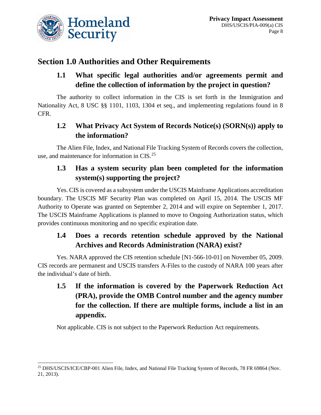

# **Section 1.0 Authorities and Other Requirements**

### **1.1 What specific legal authorities and/or agreements permit and define the collection of information by the project in question?**

The authority to collect information in the CIS is set forth in the Immigration and Nationality Act, 8 USC §§ 1101, 1103, 1304 et seq., and implementing regulations found in 8 CFR.

# **1.2 What Privacy Act System of Records Notice(s) (SORN(s)) apply to the information?**

The Alien File, Index, and National File Tracking System of Records covers the collection, use, and maintenance for information in CIS. [25](#page-8-0)

### **1.3 Has a system security plan been completed for the information system(s) supporting the project?**

Yes. CIS is covered as a subsystem under the USCIS Mainframe Applications accreditation boundary. The USCIS MF Security Plan was completed on April 15, 2014. The USCIS MF Authority to Operate was granted on September 2, 2014 and will expire on September 1, 2017. The USCIS Mainframe Applications is planned to move to Ongoing Authorization status, which provides continuous monitoring and no specific expiration date.

# **1.4 Does a records retention schedule approved by the National Archives and Records Administration (NARA) exist?**

Yes. NARA approved the CIS retention schedule [N1-566-10-01] on November 05, 2009. CIS records are permanent and USCIS transfers A-Files to the custody of NARA 100 years after the individual's date of birth.

**1.5 If the information is covered by the Paperwork Reduction Act (PRA), provide the OMB Control number and the agency number for the collection. If there are multiple forms, include a list in an appendix.**

Not applicable. CIS is not subject to the Paperwork Reduction Act requirements.

<span id="page-8-0"></span><sup>&</sup>lt;sup>25</sup> DHS/USCIS/ICE/CBP-001 Alien File, Index, and National File Tracking System of Records, 78 FR 69864 (Nov. 21, 2013).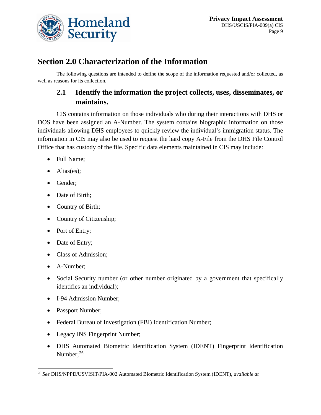

# **Section 2.0 Characterization of the Information**

The following questions are intended to define the scope of the information requested and/or collected, as well as reasons for its collection.

### **2.1 Identify the information the project collects, uses, disseminates, or maintains.**

CIS contains information on those individuals who during their interactions with DHS or DOS have been assigned an A-Number. The system contains biographic information on those individuals allowing DHS employees to quickly review the individual's immigration status. The information in CIS may also be used to request the hard copy A-File from the DHS File Control Office that has custody of the file. Specific data elements maintained in CIS may include:

- Full Name;
- Alias(es);
- Gender;
- Date of Birth;
- Country of Birth;
- Country of Citizenship;
- Port of Entry;
- Date of Entry;
- Class of Admission:
- A-Number;
- Social Security number (or other number originated by a government that specifically identifies an individual);
- I-94 Admission Number:
- Passport Number;
- Federal Bureau of Investigation (FBI) Identification Number;
- Legacy INS Fingerprint Number;
- DHS Automated Biometric Identification System (IDENT) Fingerprint Identification Number; [26](#page-9-0)

<span id="page-9-0"></span> <sup>26</sup> *See* DHS/NPPD/USVISIT/PIA-002 Automated Biometric Identification System (IDENT), *available at*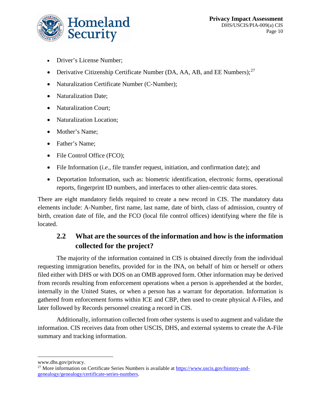

- Driver's License Number;
- Derivative Citizenship Certificate Number (DA, AA, AB, and EE Numbers);  $27$
- Naturalization Certificate Number (C-Number);
- Naturalization Date;
- Naturalization Court;
- Naturalization Location;
- Mother's Name;
- Father's Name;
- File Control Office (FCO);
- File Information (*i.e*., file transfer request, initiation, and confirmation date); and
- Deportation Information, such as: biometric identification, electronic forms, operational reports, fingerprint ID numbers, and interfaces to other alien-centric data stores.

There are eight mandatory fields required to create a new record in CIS. The mandatory data elements include: A-Number, first name, last name, date of birth, class of admission, country of birth, creation date of file, and the FCO (local file control offices) identifying where the file is located.

### **2.2 What are the sources of the information and how is the information collected for the project?**

The majority of the information contained in CIS is obtained directly from the individual requesting immigration benefits, provided for in the INA, on behalf of him or herself or others filed either with DHS or with DOS on an OMB approved form. Other information may be derived from records resulting from enforcement operations when a person is apprehended at the border, internally in the United States, or when a person has a warrant for deportation. Information is gathered from enforcement forms within ICE and CBP, then used to create physical A-Files, and later followed by Records personnel creating a record in CIS.

Additionally, information collected from other systems is used to augment and validate the information. CIS receives data from other USCIS, DHS, and external systems to create the A-File summary and tracking information.

 $\overline{a}$ www.dhs.gov/privacy.

<span id="page-10-0"></span><sup>&</sup>lt;sup>27</sup> More information on Certificate Series Numbers is available a[t https://www.uscis.gov/history-and](https://www.uscis.gov/history-and-genealogy/genealogy/certificate-series-numbers)[genealogy/genealogy/certificate-series-numbers.](https://www.uscis.gov/history-and-genealogy/genealogy/certificate-series-numbers)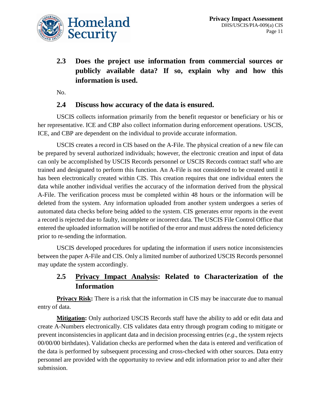

**2.3 Does the project use information from commercial sources or publicly available data? If so, explain why and how this information is used.**

No.

#### **2.4 Discuss how accuracy of the data is ensured.**

USCIS collects information primarily from the benefit requestor or beneficiary or his or her representative. ICE and CBP also collect information during enforcement operations. USCIS, ICE, and CBP are dependent on the individual to provide accurate information.

USCIS creates a record in CIS based on the A-File. The physical creation of a new file can be prepared by several authorized individuals; however, the electronic creation and input of data can only be accomplished by USCIS Records personnel or USCIS Records contract staff who are trained and designated to perform this function. An A-File is not considered to be created until it has been electronically created within CIS. This creation requires that one individual enters the data while another individual verifies the accuracy of the information derived from the physical A-File. The verification process must be completed within 48 hours or the information will be deleted from the system. Any information uploaded from another system undergoes a series of automated data checks before being added to the system. CIS generates error reports in the event a record is rejected due to faulty, incomplete or incorrect data. The USCIS File Control Office that entered the uploaded information will be notified of the error and must address the noted deficiency prior to re-sending the information.

USCIS developed procedures for updating the information if users notice inconsistencies between the paper A-File and CIS. Only a limited number of authorized USCIS Records personnel may update the system accordingly.

### **2.5 Privacy Impact Analysis: Related to Characterization of the Information**

**Privacy Risk:** There is a risk that the information in CIS may be inaccurate due to manual entry of data.

**Mitigation:** Only authorized USCIS Records staff have the ability to add or edit data and create A-Numbers electronically. CIS validates data entry through program coding to mitigate or prevent inconsistencies in applicant data and in decision processing entries (*e.g*., the system rejects 00/00/00 birthdates). Validation checks are performed when the data is entered and verification of the data is performed by subsequent processing and cross-checked with other sources. Data entry personnel are provided with the opportunity to review and edit information prior to and after their submission.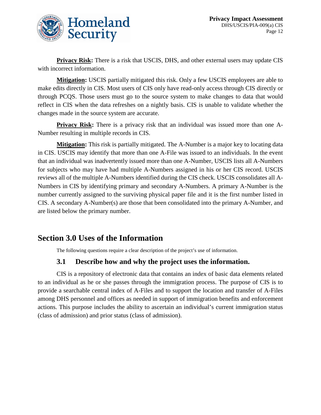

**Privacy Risk:** There is a risk that USCIS, DHS, and other external users may update CIS with incorrect information.

**Mitigation:** USCIS partially mitigated this risk. Only a few USCIS employees are able to make edits directly in CIS. Most users of CIS only have read-only access through CIS directly or through PCQS. Those users must go to the source system to make changes to data that would reflect in CIS when the data refreshes on a nightly basis. CIS is unable to validate whether the changes made in the source system are accurate.

**Privacy Risk:** There is a privacy risk that an individual was issued more than one A-Number resulting in multiple records in CIS.

**Mitigation:** This risk is partially mitigated. The A-Number is a major key to locating data in CIS. USCIS may identify that more than one A-File was issued to an individuals. In the event that an individual was inadvertently issued more than one A-Number, USCIS lists all A-Numbers for subjects who may have had multiple A-Numbers assigned in his or her CIS record. USCIS reviews all of the multiple A-Numbers identified during the CIS check. USCIS consolidates all A-Numbers in CIS by identifying primary and secondary A-Numbers. A primary A-Number is the number currently assigned to the surviving physical paper file and it is the first number listed in CIS. A secondary A-Number(s) are those that been consolidated into the primary A-Number, and are listed below the primary number.

# **Section 3.0 Uses of the Information**

The following questions require a clear description of the project's use of information.

### **3.1 Describe how and why the project uses the information.**

CIS is a repository of electronic data that contains an index of basic data elements related to an individual as he or she passes through the immigration process. The purpose of CIS is to provide a searchable central index of A-Files and to support the location and transfer of A-Files among DHS personnel and offices as needed in support of immigration benefits and enforcement actions. This purpose includes the ability to ascertain an individual's current immigration status (class of admission) and prior status (class of admission).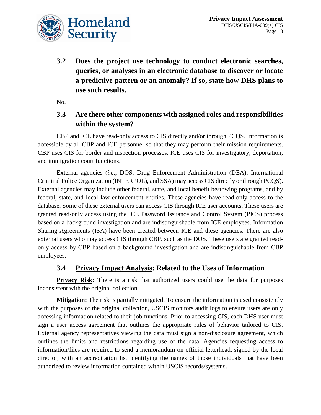

**3.2 Does the project use technology to conduct electronic searches, queries, or analyses in an electronic database to discover or locate a predictive pattern or an anomaly? If so, state how DHS plans to use such results.**

No.

### **3.3 Are there other components with assigned roles and responsibilities within the system?**

CBP and ICE have read-only access to CIS directly and/or through PCQS. Information is accessible by all CBP and ICE personnel so that they may perform their mission requirements. CBP uses CIS for border and inspection processes. ICE uses CIS for investigatory, deportation, and immigration court functions.

External agencies (*i.e*., DOS, Drug Enforcement Administration (DEA), International Criminal Police Organization (INTERPOL), and SSA) may access CIS directly or through PCQS). External agencies may include other federal, state, and local benefit bestowing programs, and by federal, state, and local law enforcement entities. These agencies have read-only access to the database. Some of these external users can access CIS through ICE user accounts. These users are granted read-only access using the ICE Password Issuance and Control System (PICS) process based on a background investigation and are indistinguishable from ICE employees. Information Sharing Agreements (ISA) have been created between ICE and these agencies. There are also external users who may access CIS through CBP, such as the DOS. These users are granted readonly access by CBP based on a background investigation and are indistinguishable from CBP employees.

#### **3.4 Privacy Impact Analysis: Related to the Uses of Information**

**Privacy Risk:** There is a risk that authorized users could use the data for purposes inconsistent with the original collection.

**Mitigation:** The risk is partially mitigated. To ensure the information is used consistently with the purposes of the original collection, USCIS monitors audit logs to ensure users are only accessing information related to their job functions. Prior to accessing CIS, each DHS user must sign a user access agreement that outlines the appropriate rules of behavior tailored to CIS. External agency representatives viewing the data must sign a non-disclosure agreement, which outlines the limits and restrictions regarding use of the data. Agencies requesting access to information/files are required to send a memorandum on official letterhead, signed by the local director, with an accreditation list identifying the names of those individuals that have been authorized to review information contained within USCIS records/systems.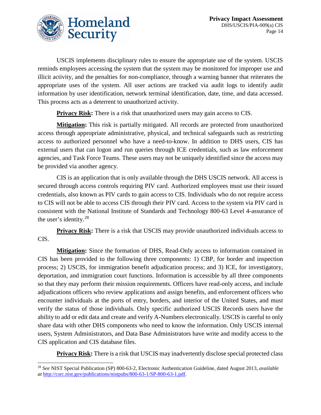

USCIS implements disciplinary rules to ensure the appropriate use of the system. USCIS reminds employees accessing the system that the system may be monitored for improper use and illicit activity, and the penalties for non-compliance, through a warning banner that reiterates the appropriate uses of the system. All user actions are tracked via audit logs to identify audit information by user identification, network terminal identification, date, time, and data accessed. This process acts as a deterrent to unauthorized activity.

**Privacy Risk:** There is a risk that unauthorized users may gain access to CIS.

**Mitigation:** This risk is partially mitigated. All records are protected from unauthorized access through appropriate administrative, physical, and technical safeguards such as restricting access to authorized personnel who have a need-to-know. In addition to DHS users, CIS has external users that can logon and run queries through ICE credentials, such as law enforcement agencies, and Task Force Teams. These users may not be uniquely identified since the access may be provided via another agency.

CIS is an application that is only available through the DHS USCIS network. All access is secured through access controls requiring PIV card. Authorized employees must use their issued credentials, also known as PIV cards to gain access to CIS. Individuals who do not require access to CIS will not be able to access CIS through their PIV card. Access to the system via PIV card is consistent with the National Institute of Standards and Technology 800-63 Level 4-assurance of the user's identity.[28](#page-14-0)

**Privacy Risk:** There is a risk that USCIS may provide unauthorized individuals access to CIS.

**Mitigation:** Since the formation of DHS, Read-Only access to information contained in CIS has been provided to the following three components: 1) CBP, for border and inspection process; 2) USCIS, for immigration benefit adjudication process; and 3) ICE, for investigatory, deportation, and immigration court functions. Information is accessible by all three components so that they may perform their mission requirements. Officers have read-only access, and include adjudications officers who review applications and assign benefits, and enforcement officers who encounter individuals at the ports of entry, borders, and interior of the United States, and must verify the status of those individuals. Only specific authorized USCIS Records users have the ability to add or edit data and create and verify A-Numbers electronically. USCIS is careful to only share data with other DHS components who need to know the information. Only USCIS internal users, System Administrators, and Data Base Administrators have write and modify access to the CIS application and CIS database files.

**Privacy Risk:** There is a risk that USCIS may inadvertently disclose special protected class

<span id="page-14-0"></span> <sup>28</sup> *See* NIST Special Publication (SP) 800-63-2, Electronic Authentication Guideline, dated August 2013, *available at* [http://csrc.nist.gov/publications/nistpubs/800-63-1/SP-800-63-1.pdf.](http://csrc.nist.gov/publications/nistpubs/800-63-1/SP-800-63-1.pdf)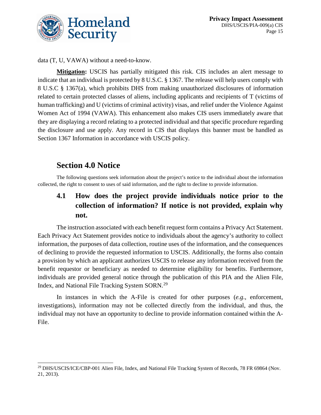

data (T, U, VAWA) without a need-to-know.

**Mitigation:** USCIS has partially mitigated this risk. CIS includes an alert message to indicate that an individual is protected by 8 U.S.C. § 1367. The release will help users comply with 8 U.S.C § 1367(a), which prohibits DHS from making unauthorized disclosures of information related to certain protected classes of aliens, including applicants and recipients of T (victims of human trafficking) and U (victims of criminal activity) visas, and relief under the Violence Against Women Act of 1994 (VAWA). This enhancement also makes CIS users immediately aware that they are displaying a record relating to a protected individual and that specific procedure regarding the disclosure and use apply. Any record in CIS that displays this banner must be handled as Section 1367 Information in accordance with USCIS policy.

# **Section 4.0 Notice**

The following questions seek information about the project's notice to the individual about the information collected, the right to consent to uses of said information, and the right to decline to provide information.

# **4.1 How does the project provide individuals notice prior to the collection of information? If notice is not provided, explain why not.**

The instruction associated with each benefit request form contains a Privacy Act Statement. Each Privacy Act Statement provides notice to individuals about the agency's authority to collect information, the purposes of data collection, routine uses of the information, and the consequences of declining to provide the requested information to USCIS. Additionally, the forms also contain a provision by which an applicant authorizes USCIS to release any information received from the benefit requestor or beneficiary as needed to determine eligibility for benefits. Furthermore, individuals are provided general notice through the publication of this PIA and the Alien File, Index, and National File Tracking System SORN.[29](#page-15-0)

In instances in which the A-File is created for other purposes (*e.g*., enforcement, investigations), information may not be collected directly from the individual, and thus, the individual may not have an opportunity to decline to provide information contained within the A-File.

<span id="page-15-0"></span><sup>&</sup>lt;sup>29</sup> DHS/USCIS/ICE/CBP-001 Alien File, Index, and National File Tracking System of Records, 78 FR 69864 (Nov. 21, 2013).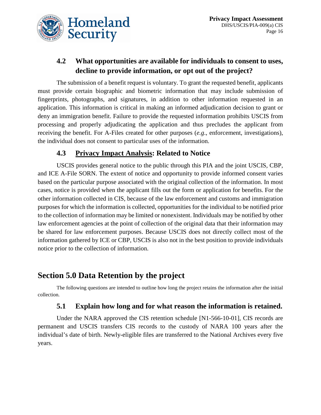

# **4.2 What opportunities are available for individuals to consent to uses, decline to provide information, or opt out of the project?**

The submission of a benefit request is voluntary. To grant the requested benefit, applicants must provide certain biographic and biometric information that may include submission of fingerprints, photographs, and signatures, in addition to other information requested in an application. This information is critical in making an informed adjudication decision to grant or deny an immigration benefit. Failure to provide the requested information prohibits USCIS from processing and properly adjudicating the application and thus precludes the applicant from receiving the benefit. For A-Files created for other purposes (*e.g*., enforcement, investigations), the individual does not consent to particular uses of the information.

#### **4.3 Privacy Impact Analysis: Related to Notice**

USCIS provides general notice to the public through this PIA and the joint USCIS, CBP, and ICE A-File SORN. The extent of notice and opportunity to provide informed consent varies based on the particular purpose associated with the original collection of the information. In most cases, notice is provided when the applicant fills out the form or application for benefits. For the other information collected in CIS, because of the law enforcement and customs and immigration purposes for which the information is collected, opportunities for the individual to be notified prior to the collection of information may be limited or nonexistent. Individuals may be notified by other law enforcement agencies at the point of collection of the original data that their information may be shared for law enforcement purposes. Because USCIS does not directly collect most of the information gathered by ICE or CBP, USCIS is also not in the best position to provide individuals notice prior to the collection of information.

# **Section 5.0 Data Retention by the project**

The following questions are intended to outline how long the project retains the information after the initial collection.

#### **5.1 Explain how long and for what reason the information is retained.**

Under the NARA approved the CIS retention schedule [N1-566-10-01], CIS records are permanent and USCIS transfers CIS records to the custody of NARA 100 years after the individual's date of birth. Newly-eligible files are transferred to the National Archives every five years.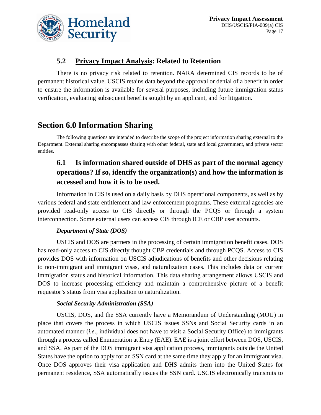

#### **5.2 Privacy Impact Analysis: Related to Retention**

There is no privacy risk related to retention. NARA determined CIS records to be of permanent historical value. USCIS retains data beyond the approval or denial of a benefit in order to ensure the information is available for several purposes, including future immigration status verification, evaluating subsequent benefits sought by an applicant, and for litigation.

# **Section 6.0 Information Sharing**

The following questions are intended to describe the scope of the project information sharing external to the Department. External sharing encompasses sharing with other federal, state and local government, and private sector entities.

# **6.1 Is information shared outside of DHS as part of the normal agency operations? If so, identify the organization(s) and how the information is accessed and how it is to be used.**

Information in CIS is used on a daily basis by DHS operational components, as well as by various federal and state entitlement and law enforcement programs. These external agencies are provided read-only access to CIS directly or through the PCQS or through a system interconnection. Some external users can access CIS through ICE or CBP user accounts.

#### *Department of State (DOS)*

USCIS and DOS are partners in the processing of certain immigration benefit cases. DOS has read-only access to CIS directly thought CBP credentials and through PCQS. Access to CIS provides DOS with information on USCIS adjudications of benefits and other decisions relating to non-immigrant and immigrant visas, and naturalization cases. This includes data on current immigration status and historical information. This data sharing arrangement allows USCIS and DOS to increase processing efficiency and maintain a comprehensive picture of a benefit requestor's status from visa application to naturalization.

#### *Social Security Administration (SSA)*

USCIS, DOS, and the SSA currently have a Memorandum of Understanding (MOU) in place that covers the process in which USCIS issues SSNs and Social Security cards in an automated manner (*i.e*., individual does not have to visit a Social Security Office) to immigrants through a process called Enumeration at Entry (EAE). EAE is a joint effort between DOS, USCIS, and SSA. As part of the DOS immigrant visa application process, immigrants outside the United States have the option to apply for an SSN card at the same time they apply for an immigrant visa. Once DOS approves their visa application and DHS admits them into the United States for permanent residence, SSA automatically issues the SSN card. USCIS electronically transmits to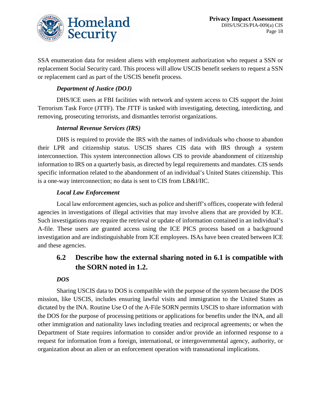

SSA enumeration data for resident aliens with employment authorization who request a SSN or replacement Social Security card. This process will allow USCIS benefit seekers to request a SSN or replacement card as part of the USCIS benefit process.

#### *Department of Justice (DOJ)*

DHS/ICE users at FBI facilities with network and system access to CIS support the Joint Terrorism Task Force (JTTF). The JTTF is tasked with investigating, detecting, interdicting, and removing, prosecuting terrorists, and dismantles terrorist organizations.

#### *Internal Revenue Services (IRS)*

DHS is required to provide the IRS with the names of individuals who choose to abandon their LPR and citizenship status. USCIS shares CIS data with IRS through a system interconnection. This system interconnection allows CIS to provide abandonment of citizenship information to IRS on a quarterly basis, as directed by legal requirements and mandates. CIS sends specific information related to the abandonment of an individual's United States citizenship. This is a one-way interconnection; no data is sent to CIS from LB&I/IIC.

#### *Local Law Enforcement*

Local law enforcement agencies, such as police and sheriff's offices, cooperate with federal agencies in investigations of illegal activities that may involve aliens that are provided by ICE. Such investigations may require the retrieval or update of information contained in an individual's A-file. These users are granted access using the ICE PICS process based on a background investigation and are indistinguishable from ICE employees. ISAs have been created between ICE and these agencies.

### **6.2 Describe how the external sharing noted in 6.1 is compatible with the SORN noted in 1.2.**

#### *DOS*

Sharing USCIS data to DOS is compatible with the purpose of the system because the DOS mission, like USCIS, includes ensuring lawful visits and immigration to the United States as dictated by the INA. Routine Use O of the A-File SORN permits USCIS to share information with the DOS for the purpose of processing petitions or applications for benefits under the INA, and all other immigration and nationality laws including treaties and reciprocal agreements; or when the Department of State requires information to consider and/or provide an informed response to a request for information from a foreign, international, or intergovernmental agency, authority, or organization about an alien or an enforcement operation with transnational implications.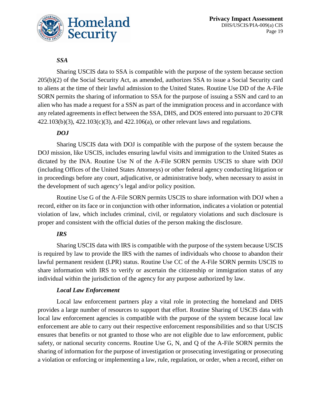

#### *SSA*

Sharing USCIS data to SSA is compatible with the purpose of the system because section 205(b)(2) of the Social Security Act, as amended, authorizes SSA to issue a Social Security card to aliens at the time of their lawful admission to the United States. Routine Use DD of the A-File SORN permits the sharing of information to SSA for the purpose of issuing a SSN and card to an alien who has made a request for a SSN as part of the immigration process and in accordance with any related agreements in effect between the SSA, DHS, and DOS entered into pursuant to 20 CFR 422.103(b)(3), 422.103(c)(3), and 422.106(a), or other relevant laws and regulations.

#### *DOJ*

Sharing USCIS data with DOJ is compatible with the purpose of the system because the DOJ mission, like USCIS, includes ensuring lawful visits and immigration to the United States as dictated by the INA. Routine Use N of the A-File SORN permits USCIS to share with DOJ (including Offices of the United States Attorneys) or other federal agency conducting litigation or in proceedings before any court, adjudicative, or administrative body, when necessary to assist in the development of such agency's legal and/or policy position.

Routine Use G of the A-File SORN permits USCIS to share information with DOJ when a record, either on its face or in conjunction with other information, indicates a violation or potential violation of law, which includes criminal, civil, or regulatory violations and such disclosure is proper and consistent with the official duties of the person making the disclosure.

#### *IRS*

Sharing USCIS data with IRS is compatible with the purpose of the system because USCIS is required by law to provide the IRS with the names of individuals who choose to abandon their lawful permanent resident (LPR) status. Routine Use CC of the A-File SORN permits USCIS to share information with IRS to verify or ascertain the citizenship or immigration status of any individual within the jurisdiction of the agency for any purpose authorized by law.

#### *Local Law Enforcement*

Local law enforcement partners play a vital role in protecting the homeland and DHS provides a large number of resources to support that effort. Routine Sharing of USCIS data with local law enforcement agencies is compatible with the purpose of the system because local law enforcement are able to carry out their respective enforcement responsibilities and so that USCIS ensures that benefits or not granted to those who are not eligible due to law enforcement, public safety, or national security concerns. Routine Use G, N, and Q of the A-File SORN permits the sharing of information for the purpose of investigation or prosecuting investigating or prosecuting a violation or enforcing or implementing a law, rule, regulation, or order, when a record, either on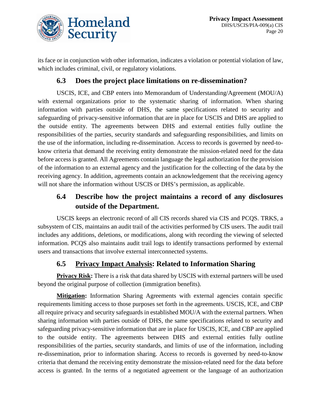

its face or in conjunction with other information, indicates a violation or potential violation of law, which includes criminal, civil, or regulatory violations.

#### **6.3 Does the project place limitations on re-dissemination?**

USCIS, ICE, and CBP enters into Memorandum of Understanding/Agreement (MOU/A) with external organizations prior to the systematic sharing of information. When sharing information with parties outside of DHS, the same specifications related to security and safeguarding of privacy-sensitive information that are in place for USCIS and DHS are applied to the outside entity. The agreements between DHS and external entities fully outline the responsibilities of the parties, security standards and safeguarding responsibilities, and limits on the use of the information, including re-dissemination. Access to records is governed by need-toknow criteria that demand the receiving entity demonstrate the mission-related need for the data before access is granted. All Agreements contain language the legal authorization for the provision of the information to an external agency and the justification for the collecting of the data by the receiving agency. In addition, agreements contain an acknowledgement that the receiving agency will not share the information without USCIS or DHS's permission, as applicable.

### **6.4 Describe how the project maintains a record of any disclosures outside of the Department.**

USCIS keeps an electronic record of all CIS records shared via CIS and PCQS. TRKS, a subsystem of CIS, maintains an audit trail of the activities performed by CIS users. The audit trail includes any additions, deletions, or modifications, along with recording the viewing of selected information. PCQS also maintains audit trail logs to identify transactions performed by external users and transactions that involve external interconnected systems.

### **6.5 Privacy Impact Analysis: Related to Information Sharing**

**Privacy Risk:** There is a risk that data shared by USCIS with external partners will be used beyond the original purpose of collection (immigration benefits).

**Mitigation:** Information Sharing Agreements with external agencies contain specific requirements limiting access to those purposes set forth in the agreements. USCIS, ICE, and CBP all require privacy and security safeguards in established MOU/A with the external partners. When sharing information with parties outside of DHS, the same specifications related to security and safeguarding privacy-sensitive information that are in place for USCIS, ICE, and CBP are applied to the outside entity. The agreements between DHS and external entities fully outline responsibilities of the parties, security standards, and limits of use of the information, including re-dissemination, prior to information sharing. Access to records is governed by need-to-know criteria that demand the receiving entity demonstrate the mission-related need for the data before access is granted. In the terms of a negotiated agreement or the language of an authorization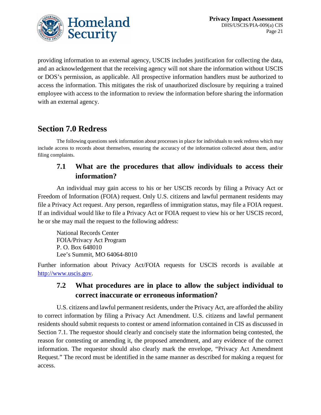

providing information to an external agency, USCIS includes justification for collecting the data, and an acknowledgement that the receiving agency will not share the information without USCIS or DOS's permission, as applicable. All prospective information handlers must be authorized to access the information. This mitigates the risk of unauthorized disclosure by requiring a trained employee with access to the information to review the information before sharing the information with an external agency.

# **Section 7.0 Redress**

The following questions seek information about processes in place for individuals to seek redress which may include access to records about themselves, ensuring the accuracy of the information collected about them, and/or filing complaints.

### **7.1 What are the procedures that allow individuals to access their information?**

An individual may gain access to his or her USCIS records by filing a Privacy Act or Freedom of Information (FOIA) request. Only U.S. citizens and lawful permanent residents may file a Privacy Act request. Any person, regardless of immigration status, may file a FOIA request. If an individual would like to file a Privacy Act or FOIA request to view his or her USCIS record, he or she may mail the request to the following address:

National Records Center FOIA/Privacy Act Program P. O. Box 648010 Lee's Summit, MO 64064-8010

Further information about Privacy Act/FOIA requests for USCIS records is available at [http://www.uscis.gov.](http://www.uscis.gov/)

### **7.2 What procedures are in place to allow the subject individual to correct inaccurate or erroneous information?**

U.S. citizens and lawful permanent residents, under the Privacy Act, are afforded the ability to correct information by filing a Privacy Act Amendment. U.S. citizens and lawful permanent residents should submit requests to contest or amend information contained in CIS as discussed in Section 7.1. The requestor should clearly and concisely state the information being contested, the reason for contesting or amending it, the proposed amendment, and any evidence of the correct information. The requestor should also clearly mark the envelope, "Privacy Act Amendment Request." The record must be identified in the same manner as described for making a request for access.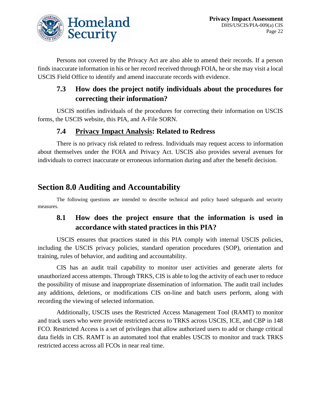

Persons not covered by the Privacy Act are also able to amend their records. If a person finds inaccurate information in his or her record received through FOIA, he or she may visit a local USCIS Field Office to identify and amend inaccurate records with evidence.

### **7.3 How does the project notify individuals about the procedures for correcting their information?**

USCIS notifies individuals of the procedures for correcting their information on USCIS forms, the USCIS website, this PIA, and A-File SORN.

### **7.4 Privacy Impact Analysis: Related to Redress**

There is no privacy risk related to redress. Individuals may request access to information about themselves under the FOIA and Privacy Act. USCIS also provides several avenues for individuals to correct inaccurate or erroneous information during and after the benefit decision.

# **Section 8.0 Auditing and Accountability**

The following questions are intended to describe technical and policy based safeguards and security measures.

### **8.1 How does the project ensure that the information is used in accordance with stated practices in this PIA?**

USCIS ensures that practices stated in this PIA comply with internal USCIS policies, including the USCIS privacy policies, standard operation procedures (SOP), orientation and training, rules of behavior, and auditing and accountability.

CIS has an audit trail capability to monitor user activities and generate alerts for unauthorized access attempts. Through TRKS, CIS is able to log the activity of each user to reduce the possibility of misuse and inappropriate dissemination of information. The audit trail includes any additions, deletions, or modifications CIS on-line and batch users perform, along with recording the viewing of selected information.

Additionally, USCIS uses the Restricted Access Management Tool (RAMT) to monitor and track users who were provide restricted access to TRKS across USCIS, ICE, and CBP in 148 FCO. Restricted Access is a set of privileges that allow authorized users to add or change critical data fields in CIS. RAMT is an automated tool that enables USCIS to monitor and track TRKS restricted access across all FCOs in near real time.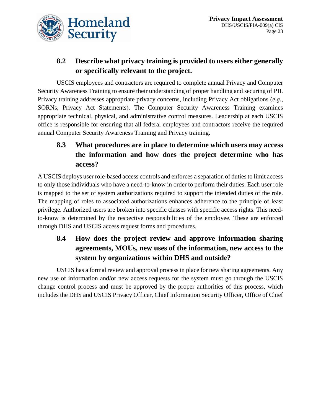

# **8.2 Describe what privacy training is provided to users either generally or specifically relevant to the project.**

USCIS employees and contractors are required to complete annual Privacy and Computer Security Awareness Training to ensure their understanding of proper handling and securing of PII. Privacy training addresses appropriate privacy concerns, including Privacy Act obligations (*e.g*., SORNs, Privacy Act Statements). The Computer Security Awareness Training examines appropriate technical, physical, and administrative control measures. Leadership at each USCIS office is responsible for ensuring that all federal employees and contractors receive the required annual Computer Security Awareness Training and Privacy training.

# **8.3 What procedures are in place to determine which users may access the information and how does the project determine who has access?**

A USCIS deploys user role-based access controls and enforces a separation of duties to limit access to only those individuals who have a need-to-know in order to perform their duties. Each user role is mapped to the set of system authorizations required to support the intended duties of the role. The mapping of roles to associated authorizations enhances adherence to the principle of least privilege. Authorized users are broken into specific classes with specific access rights. This needto-know is determined by the respective responsibilities of the employee. These are enforced through DHS and USCIS access request forms and procedures.

# **8.4 How does the project review and approve information sharing agreements, MOUs, new uses of the information, new access to the system by organizations within DHS and outside?**

USCIS has a formal review and approval process in place for new sharing agreements. Any new use of information and/or new access requests for the system must go through the USCIS change control process and must be approved by the proper authorities of this process, which includes the DHS and USCIS Privacy Officer, Chief Information Security Officer, Office of Chief